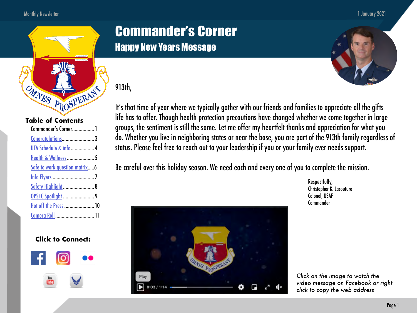#### Monthly Newsletter

#### 1 January 2021



#### **Table of Contents**

| Commander's Corner 1            |  |
|---------------------------------|--|
|                                 |  |
| UTA Schedule & info 4           |  |
| <b>Health &amp; Wellness  5</b> |  |
| Safe to work question matrix    |  |
|                                 |  |
| <b>Safety Highlight  8</b>      |  |
|                                 |  |
| Hot off the Press  10           |  |
| Camera Roll  11                 |  |
|                                 |  |

#### **Click to Connect:**



## Commander's Corner Happy New Years Message

### 913th,



Be careful over this holiday season. We need each and every one of you to complete the mission.



Respectfully, Christopher K. Lacouture Colonel, USAF Commander

*Click on the image to watch the video message on Facebook or right click to copy the web address*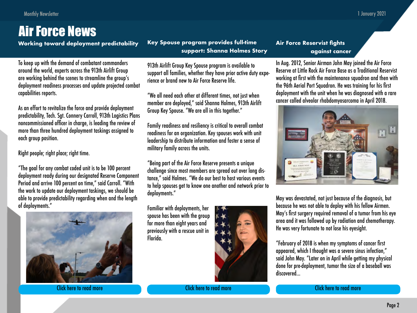## Air Force News

To keep up with the demand of combatant commanders around the world, experts across the 913th Airlift Group are working behind the scenes to streamline the group's deployment readiness processes and update projected combat capabilities reports.

As an effort to revitalize the force and provide deployment predictability, Tech. Sgt. Connery Carroll, 913th Logistics Plans noncommissioned officer in charge, is leading the review of more than three hundred deployment taskings assigned to each group position.

Right people; right place; right time.

"The goal for any combat coded unit is to be 100 percent deployment ready during our designated Reserve Component Period and arrive 100 percent on time," said Carroll. "With the work to update our deployment taskings, we should be able to provide predictability regarding when and the length of deployments."



[Click here to read more](https://www.913ag.afrc.af.mil/News/Article-Display/Article/2455504/working-toward-deployment-predictability/) [Click here to read more](https://www.913ag.afrc.af.mil/News/Article-Display/Article/2439442/key-spouse-program-provides-full-time-support-shanna-holmes-story/) [Click here to read more](https://www.913ag.afrc.af.mil/News/Article-Display/Article/2439427/air-force-reservist-fights-against-cancer-with-support-from-arkansas-unit/)

**Working toward deployment predictability Air Force Reservist fights Key Spouse program provides full-time support: Shanna Holmes Story**

> 913th Airlift Group Key Spouse program is available to support all families, whether they have prior active duty experience or brand new to Air Force Reserve life.

"We all need each other at different times, not just when member are deployed," said Shanna Holmes, 913th Airlift Group Key Spouse. "We are all in this together."

Family readiness and resiliency is critical to overall combat readiness for an organization. Key spouses work with unit leadership to distribute information and foster a sense of military family across the units.

"Being part of the Air Force Reserve presents a unique challenge since most members are spread out over long distance," said Holmes. "We do our best to host various events to help spouses get to know one another and network prior to deployments."

Familiar with deployments, her spouse has been with the group for more than eight years and previously with a rescue unit in Florida.



## **against cancer**

In Aug. 2012, Senior Airman John May joined the Air Force Reserve at Little Rock Air Force Base as a Traditional Reservist working at first with the maintenance squadron and then with the 96th Aerial Port Squadron. He was training for his first deployment with the unit when he was diagnosed with a rare cancer called alveolar rhabdomyosarcoma in April 2018.



May was devastated, not just because of the diagnosis, but because he was not able to deploy with his fellow Airmen. May's first surgery required removal of a tumor from his eye area and it was followed up by radiation and chemotherapy. He was very fortunate to not lose his eyesight.

"February of 2018 is when my symptoms of cancer first appeared, which I thought was a severe sinus infection," said John May. "Later on in April while getting my physical done for pre-deployment, tumor the size of a baseball was discovered...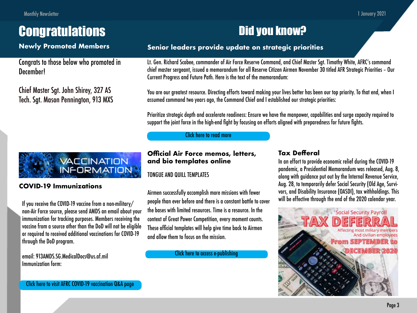# <span id="page-2-0"></span>**Congratulations**

### **Newly Promoted Members**

Congrats to those below who promoted in December!

Chief Master Sgt. John Shirey, 327 AS Tech. Sgt. Mason Pennington, 913 MXS

## Did you know?

### **Senior leaders provide update on strategic priorities**

Lt. Gen. Richard Scobee, commander of Air Force Reserve Command, and Chief Master Sgt. Timothy White, AFRC's command chief master sergeant, issued a memorandum for all Reserve Citizen Airmen November 30 titled AFR Strategic Priorities – Our Current Progress and Future Path. Here is the text of the memorandum:

You are our greatest resource. Directing efforts toward making your lives better has been our top priority. To that end, when I assumed command two years ago, the Command Chief and I established our strategic priorities:

Prioritize strategic depth and accelerate readiness: Ensure we have the manpower, capabilities and surge capacity required to support the joint force in the high-end fight by focusing on efforts aligned with preparedness for future fights.

#### [Click here to read more](https://www.913ag.afrc.af.mil/News/Article-Display/Article/2434018/senior-leaders-provide-update-on-strategic-priorities/)

#### **Official Air Force memos, letters, and bio templates online**

TONGUE AND QUILL TEMPLATES

If you receive the COVID-19 vaccine from a non-military/ people than ever before and there is a constant battle to cover will be effective through the end of the 2020 calendar year. Airmen successfully accomplish more missions with fewer the bases with limited resources. Time is a resource. In the context of Great Power Competition, every moment counts. These official templates will help give time back to Airmen and allow them to focus on the mission.

[Click here to access e-publishing](https://www.e-publishing.af.mil/)

### **Tax Defferal**

In an effort to provide economic relief during the COVID-19 pandemic, a Presidential Memorandum was released, Aug. 8, along with guidance put out by the Internal Revenue Service, Aug. 28, to temporarily defer Social Security (Old Age, Survivors, and Disability Insurance (OASDI), tax withholdings. This





#### **COVID-19 Immunizations**

non-Air Force source, please send AMDS an email about your immunization for tracking purposes. Members receiving the vaccine from a source other than the DoD will not be eligible or required to received additional vaccinations for COVID-19 through the DoD program.

email: 913AMDS.SG.MedicalDocs@us.af.mil Immunization form: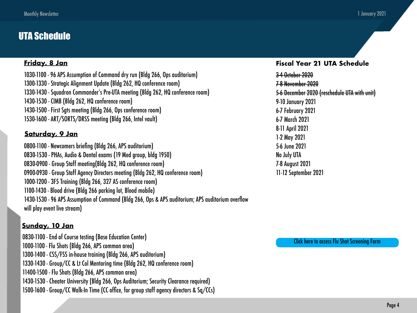### <span id="page-3-0"></span>UTA Schedule

#### **Friday, 8 Jan**

1030-1100 - 96 APS Assumption of Command dry run (Bldg 266, Ops auditorium) 1300-1330 - Strategic Alignment Update (Bldg 262, HQ conference room) 1330-1430 - Squadron Commander's Pre-UTA meeting (Bldg 262, HQ conference room) 1430-1530 - CIMB (Bldg 262, HQ conference room) 1430-1500 - First Sgts meeting (Bldg 266, Ops conference room) 1530-1600 - ART/SORTS/DRSS meeting (Bldg 266, Intel vault)

#### **Saturday, 9 Jan**

0800-1100 - Newcomers briefing (Bldg 266, APS auditorium) 0830-1530 - PHAs, Audio & Dental exams (19 Med group, bldg 1950) 0830-0900 - Group Staff meeting(Bldg 262, HQ conference room) 0900-0930 - Group Staff Agency Directors meeting (Bldg 262, HQ conference room) 1000-1200 - 3F5 Training (Bldg 266, 327 AS conference room) 1100-1430 - Blood drive (Bldg 266 parking lot, Blood mobile) 1430-1530 - 96 APS Assumption of Command (Bldg 266, Ops & APS auditorium; APS auditorium overflow will play event live stream)

#### **Sunday, 10 Jan**

0830-1100 - End of Course testing (Base Education Center) 1000-1100 - Flu Shots (Bldg 266, APS common area) 1300-1400 - CSS/FSS in-house training (Bldg 266, APS auditorium) 1330-1430 - Group/CC & Lt Col Mentoring time (Bldg 262, HQ conference room) 11400-1500 - Flu Shots (Bldg 266, APS common area) 1430-1530 - Cheater University (Bldg 266, Ops Auditorium; Security Clearance required) 1500-1600 - Group/CC Walk-In Time (CC office, for group staff agency directors & Sq/CCs)

#### **Fiscal Year 21 UTA Schedule**

3-4 October 2020 7-8 November 2020 5-6 December 2020 (reschedule UTA with unit) 9-10 January 2021 6-7 February 2021 6-7 March 2021 8-11 April 2021 1-2 May 2021 5-6 June 2021 No July UTA 7-8 August 2021 11-12 September 2021

[Click here to access Flu Shot Screening Form](https://media.defense.gov/2020/Nov/06/2002531190/-1/-1/1/PEDIATRIC%20AND%20ADULT%20INFLUENZA%20SCREENING%20AND%20IMMUNIZATION%20DOCUMENTATION.PDF)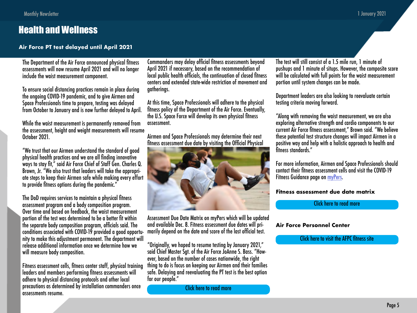### <span id="page-4-0"></span>Health and Wellness

**Air Force PT test delayed until April 2021**

The Department of the Air Force announced physical fitness assessments will now resume April 2021 and will no longer include the waist measurement component.

To ensure social distancing practices remain in place during the ongoing COVID-19 pandemic, and to give Airmen and Space Professionals time to prepare, testing was delayed from October to January and is now further delayed to April.

While the waist measurement is permanently removed from the assessment, height and weight measurements will resume October 2021.

"We trust that our Airmen understand the standard of good physical health practices and we are all finding innovative ways to stay fit," said Air Force Chief of Staff Gen. Charles Q. Brown, Jr. "We also trust that leaders will take the appropriate steps to keep their Airmen safe while making every effort to provide fitness options during the pandemic."

The DoD requires services to maintain a physical fitness assessment program and a body composition program. Over time and based on feedback, the waist measurement portion of the test was determined to be a better fit within the separate body composition program, officials said. The conditions associated with COVID-19 provided a good opportunity to make this adjustment permanent. The department will release additional information once we determine how we will measure body composition.

Fitness assessment cells, fitness center staff, physical training leaders and members performing fitness assessments will adhere to physical distancing protocols and other local precautions as determined by installation commanders once assessments resume.

Commanders may delay official fitness assessments beyond April 2021 if necessary, based on the recommendation of local public health officials, the continuation of closed fitness centers and extended state-wide restriction of movement and gatherings.

At this time, Space Professionals will adhere to the physical fitness policy of the Department of the Air Force. Eventually, the U.S. Space Force will develop its own physical fitness assessment.

Airmen and Space Professionals may determine their next fitness assessment due date by visiting the Official Physical



Assessment Due Date Matrix on myPers which will be updated and available Dec. 8. Fitness assessment due dates will primarily depend on the date and score of the last official test.

"Originally, we hoped to resume testing by January 2021," said Chief Master Sgt. of the Air Force JoAnne S. Bass. "However, based on the number of cases nationwide, the right thing to do is focus on keeping our Airmen and their families safe. Delaying and reevaluating the PT test is the best option for our people."

[Click here to read more](https://www.af.mil/News/Article-Display/Article/2437231/department-of-the-air-force-moves-physical-fitness-assessments-to-april-2021-re/)

The test will still consist of a 1.5 mile run, 1 minute of pushups and 1 minute of situps. However, the composite score will be calculated with full points for the waist measurement portion until system changes can be made.

Department leaders are also looking to reevaluate certain testing criteria moving forward.

"Along with removing the waist measurement, we are also exploring alternative strength and cardio components to our current Air Force fitness assessment," Brown said. "We believe these potential test structure changes will impact Airmen in a positive way and help with a holistic approach to health and fitness standards."

For more information, Airmen and Space Professionals should contact their fitness assessment cells and visit the COVID-19 Fitness Guidance page on [myPers](https://mypers.af.mil/).

#### **Fitness assessment due date matrix**

[Click here to read more](https://www.afpc.af.mil/Portals/70/documents/07_FITNESS/Fitness%20Assessment%20Due%20Date%20Matrix%20&%20FAQs%20Dec%202020.pdf)

#### **Air Force Personnel Center**

[Click here to visit the AFPC fitness site](https://www.afpc.af.mil/Career-Management/Fitness-Program/fbclid/IwAR08wUbTwZn1xpYnW1Lji3DUnmWCmG_6TGDNSWEDAEnncOHtTNDPAwBx99w/)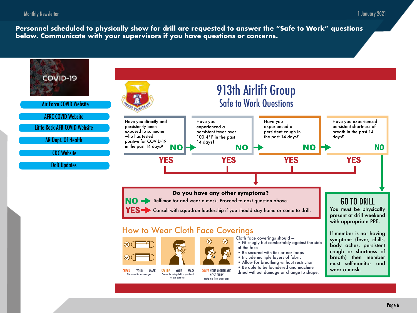<span id="page-5-0"></span>**Personnel scheduled to physically show for drill are requested to answer the "Safe to Work" questions below. Communicate with your supervisors if you have questions or concerns.** 

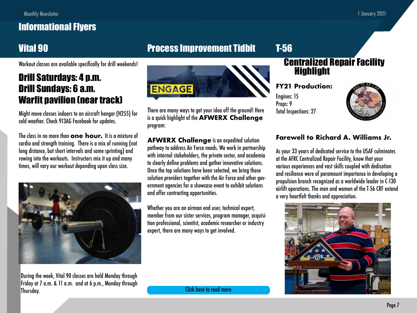## <span id="page-6-0"></span>Informational Flyers

## Vital 90

Workout classes are available specifically for drill weekends!

## Drill Saturdays: 4 p.m. Drill Sundays: 6 a.m. Warfit pavilion (near track)

Might move classes indoors to an aircraft hangar (H255) for cold weather. Check 913AG Facebook for updates.

The class in no more than **one hour.** It is a mixture of cardio and strength training. There is a mix of running (not long distance, but short intervals and some sprinting) and rowing into the workouts. Instructors mix it up and many times, will vary our workout depending upon class size.



During the week, Vital 90 classes are held Monday through Friday at 7 a.m. & 11 a.m. and at 6 p.m., Monday through Thursday.

## Process Improvement Tidbit



There are many ways to get your idea off the ground! Here is a quick highlight of the **AFWERX Challenge** program:

**AFWERX Challenge** is an expedited solution pathway to address Air Force needs. We work in partnership with internal stakeholders, the private sector, and academia to clearly define problems and gather innovative solutions. Once the top solutions have been selected, we bring those solution providers together with the Air Force and other government agencies for a showcase event to exhibit solutions and offer contracting opportunities.

Whether you are an airman end user, technical expert, member from our sister services, program manager, acquisition professional, scientist, academic researcher or industry expert, there are many ways to get involved.

### Centralized Repair Facility Highlight

**FY21 Production:**

Engines: 15 Props: 9 Total Inspections: 27

T-56



#### **Farewell to Richard A. Williams Jr.**

As your 33 years of dedicated service to the USAF culminates at the AFRC Centralized Repair Facility, know that your various experiences and vast skills coupled with dedication and resilience were of paramount importance in developing a propulsion branch recognized as a worldwide leader in C-130 airlift operations. The men and women of the T-56 CRF extend a very heartfelt thanks and appreciation.



[Click here to read more](https://afwerxchallenge.com/engagewithus)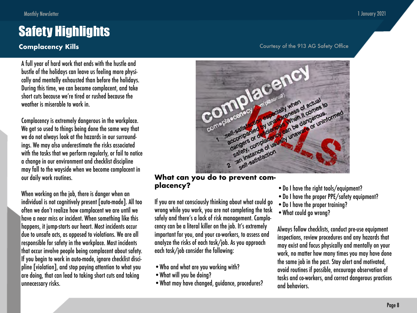## <span id="page-7-0"></span>Safety Highlights

A full year of hard work that ends with the hustle and bustle of the holidays can leave us feeling more physically and mentally exhausted than before the holidays. During this time, we can become complacent, and take short cuts because we're tired or rushed because the weather is miserable to work in.

Complacency is extremely dangerous in the workplace. We get so used to things being done the same way that we do not always look at the hazards in our surroundings. We may also underestimate the risks associated with the tasks that we perform regularly, or fail to notice a change in our environment and checklist discipline may fall to the wayside when we become complacent in our daily work routines.

When working on the job, there is danger when an individual is not cognitively present [auto-mode]. All too often we don't realize how complacent we are until we have a near miss or incident. When something like this happens, it jump-starts our heart. Most incidents occur due to unsafe acts, as opposed to violations. We are all responsible for safety in the workplace. Most incidents that occur involve people being complacent about safety. If you begin to work in auto-mode, ignore checklist discipline [violation], and stop paying attention to what you are doing, that can lead to taking short cuts and taking unnecessary risks.

#### **Complacency Kills** Complacency **Kills** Courtesy of the 913 AG Safety Office



#### **What can you do to prevent complacency?**

If you are not consciously thinking about what could go wrong while you work, you are not completing the task safely and there's a lack of risk management. Complacency can be a literal killer on the job. It's extremely important for you, and your co-workers, to assess and analyze the risks of each task/job. As you approach each task/job consider the following:

- •Who and what are you working with?
- •What will you be doing?
- •What may have changed, guidance, procedures?
- •Do I have the right tools/equipment?
- •Do I have the proper PPE/safety equipment?
- •Do I have the proper training?
- •What could go wrong?

Always follow checklists, conduct pre-use equipment inspections, review procedures and any hazards that may exist and focus physically and mentally on your work, no matter how many times you may have done the same job in the past. Stay alert and motivated, avoid routines if possible, encourage observation of tasks and co-workers, and correct dangerous practices and behaviors.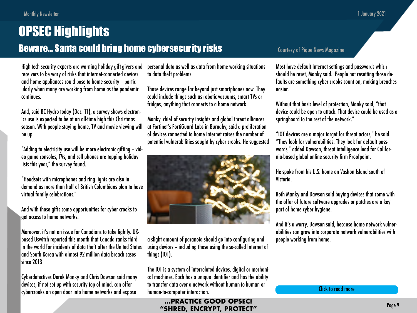<span id="page-8-0"></span>High-tech security experts are warning holiday gift-givers and receivers to be wary of risks that internet-connected devices and home appliances could pose to home security – particularly when many are working from home as the pandemic continues.

And, said BC Hydro today (Dec. 11), a survey shows electronics use is expected to be at an all-time high this Christmas season. With people staying home, TV and movie viewing will be up.

"Adding to electricity use will be more electronic gifting – video game consoles, TVs, and cell phones are topping holiday lists this year," the survey found.

"Headsets with microphones and ring lights are also in demand as more than half of British Columbians plan to have virtual family celebrations."

And with those gifts come opportunities for cyber crooks to get access to home networks.

Moreover, it's not an issue for Canadians to take lightly. UKbased Uswitch reported this month that Canada ranks third in the world for incidents of data theft after the United States and South Korea with almost 92 million data breach cases since 2013

Cyberdetectives Derek Manky and Chris Dawson said many devices, if not set up with security top of mind, can offer cybercrooks an open door into home networks and expose personal data as well as data from home-working situations to data theft problems.

Those devices range far beyond just smartphones now. They could include things such as robotic vacuums, smart TVs or fridges, anything that connects to a home network.

Manky, chief of security insights and global threat alliances at Fortinet's FortiGuard Labs in Burnaby, said a proliferation of devices connected to home Internet raises the number of potential vulnerabilities sought by cyber crooks. He suggested



a slight amount of paranoia should go into configuring and using devices – including those using the so-called Internet of things (IOT).

The IOT is a system of interrelated devices, digital or mechanical machines. Each has a unique identifier and has the ability to transfer data over a network without human-to-human or human-to-computer interaction.

#### **…PRACTICE GOOD OPSEC! "SHRED, ENCRYPT, PROTECT"**

#### Courtesy of Pique News Magazine

Most have default Internet settings and passwords which should be reset, Manky said. People not resetting those defaults are something cyber crooks count on, making breaches easier.

Without that basic level of protection, Manky said, "that device could be open to attack. That device could be used as a springboard to the rest of the network."

"IOT devices are a major target for threat actors," he said. "They look for vulnerabilities. They look for default passwords," added Dawson, threat intelligence lead for California-based global online security firm Proofpoint.

He spoke from his U.S. home on Vashon Island south of Victoria.

Both Manky and Dawson said buying devices that come with the offer of future software upgrades or patches are a key part of home cyber hygiene.

And it's a worry, Dawson said, because home network vulnerabilities can grow into corporate network vulnerabilities with people working from home.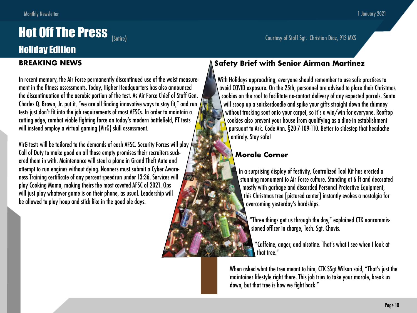# <span id="page-9-0"></span>**Hot Off The Press** (Satire) (Satire) Courtesy of Staff Sgt. Christian Diaz, 913 MXS

## Holiday Edition

#### **BREAKING NEWS**

In recent memory, the Air Force permanently discontinued use of the waist measurement in the fitness assessments. Today, Higher Headquarters has also announced the discontinuation of the aerobic portion of the test. As Air Force Chief of Staff Gen. Charles Q. Brown, Jr. put it, "we are all finding innovative ways to stay fit," and run tests just don't fit into the job requirements of most AFSCs. In order to maintain a cutting edge, combat viable fighting force on today's modern battlefield, PT tests will instead employ a virtual gaming (VirG) skill assessment.

VirG tests will be tailored to the demands of each AFSC. Security Forces will play Call of Duty to make good on all those empty promises their recruiters suckered them in with. Maintenance will steal a plane in Grand Theft Auto and attempt to run engines without dying. Nonners must submit a Cyber Awareness Training certificate of any percent speedrun under 13:36. Services will play Cooking Mama, making theirs the most coveted AFSC of 2021. Ops will just play whatever game is on their phone, as usual. Leadership will be allowed to play hoop and stick like in the good ole days.

#### **Safety Brief with Senior Airman Martinez**

With Holidays approaching, everyone should remember to use safe practices to avoid COVID exposure. On the 25th, personnel are advised to place their Christmas cookies on the roof to facilitate no-contact delivery of any expected parcels. Santa will scoop up a snickerdoodle and spike your gifts straight down the chimney without tracking soot onto your carpet, so it's a win/win for everyone. Rooftop cookies also prevent your house from qualifying as a dine-in establishment pursuant to Ark. Code Ann. §20-7-109-110. Better to sidestep that headache entirely. Stay safe!

### **Morale Corner**

In a surprising display of festivity, Centralized Tool Kit has erected a stunning monument to Air Force culture. Standing at 6 ft and decorated mostly with garbage and discarded Personal Protective Equipment, this Christmas tree [pictured center] instantly evokes a nostalgia for overcoming yesterday's hardships.

"Three things get us through the day," explained CTK noncommissioned officer in charge, Tech. Sgt. Chavis.

"Caffeine, anger, and nicotine. That's what I see when I look at that tree."

When asked what the tree meant to him, CTK SSgt Wilson said, "That's just the maintainer lifestyle right there. This job tries to take your morale, break us down, but that tree is how we fight back."